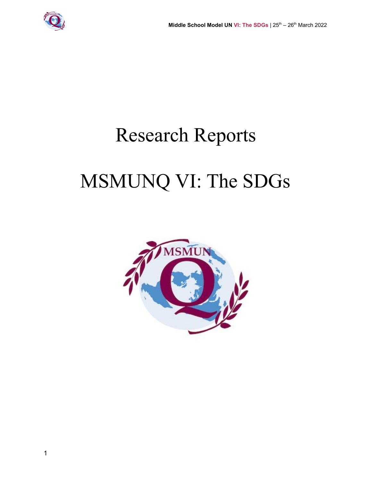

# Research Reports

## MSMUNQ VI: The SDGs

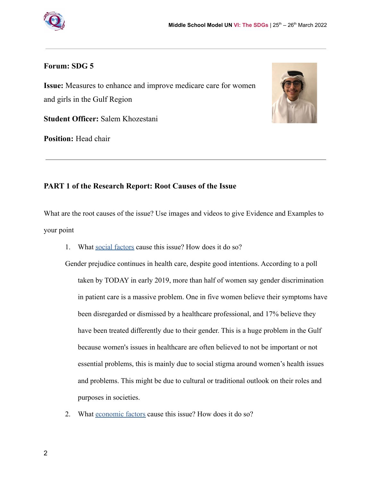

#### **Forum: SDG 5**

**Issue:** Measures to enhance and improve medicare care for women and girls in the Gulf Region



**Student Officer:** Salem Khozestani

**Position:** Head chair

## **PART 1 of the Research Report: Root Causes of the Issue**

What are the root causes of the issue? Use images and videos to give Evidence and Examples to your point

1. What [social factors](https://www.quora.com/What-is-meant-by-sociological-factors-What-are-some-examples) cause this issue? How does it do so?

Gender prejudice continues in health care, despite good intentions. According to a poll taken by TODAY in early 2019, more than half of women say gender discrimination in patient care is a massive problem. One in five women believe their symptoms have been disregarded or dismissed by a healthcare professional, and 17% believe they have been treated differently due to their gender. This is a huge problem in the Gulf because women's issues in healthcare are often believed to not be important or not essential problems, this is mainly due to social stigma around women's health issues and problems. This might be due to cultural or traditional outlook on their roles and purposes in societies.

2. What [economic factors](https://www.quora.com/What-are-five-socioeconomic-factors-that-influence-your-study-choices-and-your-future-career) cause this issue? How does it do so?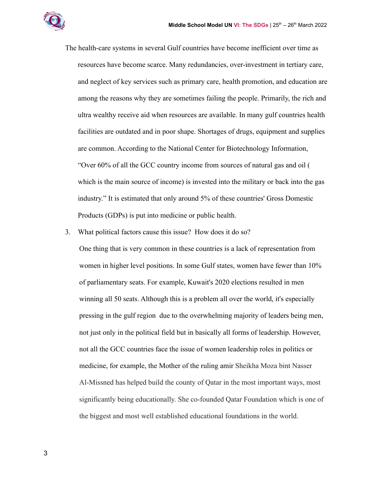

The health-care systems in several Gulf countries have become inefficient over time as resources have become scarce. Many redundancies, over-investment in tertiary care, and neglect of key services such as primary care, health promotion, and education are among the reasons why they are sometimes failing the people. Primarily, the rich and ultra wealthy receive aid when resources are available. In many gulf countries health facilities are outdated and in poor shape. Shortages of drugs, equipment and supplies are common. According to the National Center for Biotechnology Information, "Over 60% of all the GCC country income from sources of natural gas and oil ( which is the main source of income) is invested into the military or back into the gas industry." It is estimated that only around 5% of these countries' Gross Domestic Products (GDPs) is put into medicine or public health.

3. What political factors cause this issue? How does it do so?

One thing that is very common in these countries is a lack of representation from women in higher level positions. In some Gulf states, women have fewer than 10% of parliamentary seats. For example, Kuwait's 2020 elections resulted in men winning all 50 seats. Although this is a problem all over the world, it's especially pressing in the gulf region due to the overwhelming majority of leaders being men, not just only in the political field but in basically all forms of leadership. However, not all the GCC countries face the issue of women leadership roles in politics or medicine, for example, the Mother of the ruling amir Sheikha Moza bint Nasser Al-Missned has helped build the county of Qatar in the most important ways, most significantly being educationally. She co-founded Qatar Foundation which is one of the biggest and most well established educational foundations in the world.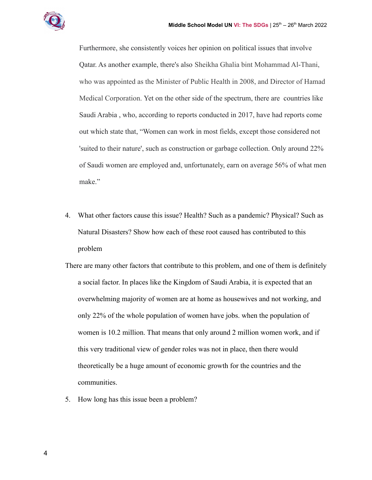

Furthermore, she consistently voices her opinion on political issues that involve Qatar. As another example, there's also Sheikha Ghalia bint Mohammad Al-Thani, who was appointed as the Minister of Public Health in 2008, and Director of Hamad Medical Corporation. Yet on the other side of the spectrum, there are countries like Saudi Arabia , who, according to reports conducted in 2017, have had reports come out which state that, "Women can work in most fields, except those considered not 'suited to their nature', such as construction or garbage collection. Only around 22% of Saudi women are employed and, unfortunately, earn on average 56% of what men make."

- 4. What other factors cause this issue? Health? Such as a pandemic? Physical? Such as Natural Disasters? Show how each of these root caused has contributed to this problem
- There are many other factors that contribute to this problem, and one of them is definitely a social factor. In places like the Kingdom of Saudi Arabia, it is expected that an overwhelming majority of women are at home as housewives and not working, and only 22% of the whole population of women have jobs. when the population of women is 10.2 million. That means that only around 2 million women work, and if this very traditional view of gender roles was not in place, then there would theoretically be a huge amount of economic growth for the countries and the communities.
- 5. How long has this issue been a problem?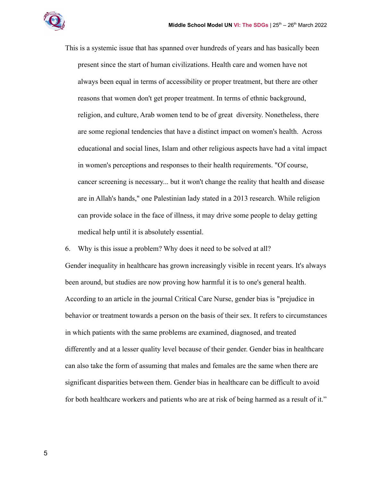

This is a systemic issue that has spanned over hundreds of years and has basically been present since the start of human civilizations. Health care and women have not always been equal in terms of accessibility or proper treatment, but there are other reasons that women don't get proper treatment. In terms of ethnic background, religion, and culture, Arab women tend to be of great diversity. Nonetheless, there are some regional tendencies that have a distinct impact on women's health. Across educational and social lines, Islam and other religious aspects have had a vital impact in women's perceptions and responses to their health requirements. "Of course, cancer screening is necessary... but it won't change the reality that health and disease are in Allah's hands," one Palestinian lady stated in a 2013 research. While religion can provide solace in the face of illness, it may drive some people to delay getting medical help until it is absolutely essential.

6. Why is this issue a problem? Why does it need to be solved at all?

Gender inequality in healthcare has grown increasingly visible in recent years. It's always been around, but studies are now proving how harmful it is to one's general health. According to an article in the journal Critical Care Nurse, gender bias is "prejudice in behavior or treatment towards a person on the basis of their sex. It refers to circumstances in which patients with the same problems are examined, diagnosed, and treated differently and at a lesser quality level because of their gender. Gender bias in healthcare can also take the form of assuming that males and females are the same when there are significant disparities between them. Gender bias in healthcare can be difficult to avoid for both healthcare workers and patients who are at risk of being harmed as a result of it."

5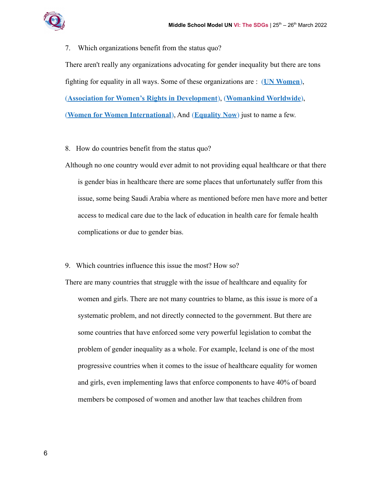

7. Which organizations benefit from the status quo? There aren't really any organizations advocating for gender inequality but there are tons fighting for equality in all ways. Some of these organizations are : (**[UN Women](https://www.unwomen.org/en)**), (**Association for [Women's Rights in Development](https://www.awid.org/)**), (**[Womankind](https://www.womankind.org.uk/index.html) Worldwide**), (**Women for [Women International](https://www.womenforwomen.org.uk/)**), And (**[Equality Now](https://www.equalitynow.org/)**) just to name a few.

8. How do countries benefit from the status quo?

Although no one country would ever admit to not providing equal healthcare or that there is gender bias in healthcare there are some places that unfortunately suffer from this issue, some being Saudi Arabia where as mentioned before men have more and better access to medical care due to the lack of education in health care for female health complications or due to gender bias.

9. Which countries influence this issue the most? How so?

There are many countries that struggle with the issue of healthcare and equality for women and girls. There are not many countries to blame, as this issue is more of a systematic problem, and not directly connected to the government. But there are some countries that have enforced some very powerful legislation to combat the problem of gender inequality as a whole. For example, Iceland is one of the most progressive countries when it comes to the issue of healthcare equality for women and girls, even implementing laws that enforce components to have 40% of board members be composed of women and another law that teaches children from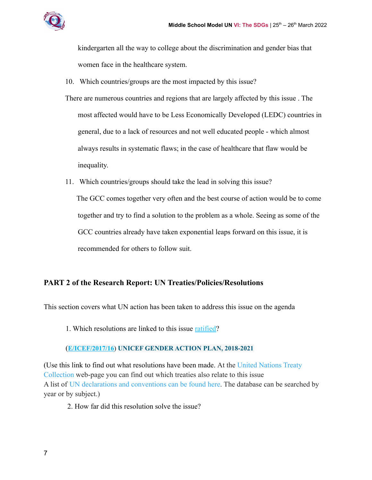

kindergarten all the way to college about the discrimination and gender bias that women face in the healthcare system.

- 10. Which countries/groups are the most impacted by this issue?
- There are numerous countries and regions that are largely affected by this issue . The most affected would have to be Less Economically Developed (LEDC) countries in general, due to a lack of resources and not well educated people - which almost always results in systematic flaws; in the case of healthcare that flaw would be inequality.
- 11. Which countries/groups should take the lead in solving this issue? The GCC comes together very often and the best course of action would be to come together and try to find a solution to the problem as a whole. Seeing as some of the GCC countries already have taken exponential leaps forward on this issue, it is recommended for others to follow suit.

## **PART 2 of the Research Report: UN Treaties/Policies/Resolutions**

This section covers what UN action has been taken to address this issue on the agenda

1. Which resolutions are linked to this issue [ratified?](https://unfoundation.org/blog/post/un-history-what-is-ratification/)

## (**[E/ICEF/2017/16](https://daccess-ods.un.org/access.nsf/get?open&DS=E/ICEF/2017/16&Lang=E)**) **UNICEF GENDER ACTION PLAN, 2018-2021**

(Use this link to find out what resolutions have been made. At the [United Nations Treaty](https://treaties.un.org/) [Collection](https://treaties.un.org/) web-page you can find out which treaties also relate to this issue A list of [UN declarations and conventions can be found](https://research.un.org/en/docs/find) here. The database can be searched by year or by subject.)

2. How far did this resolution solve the issue?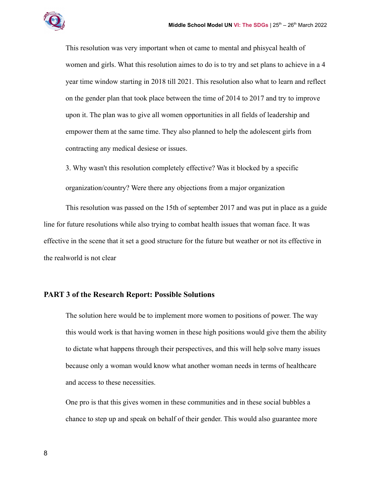

This resolution was very important when ot came to mental and phisycal health of women and girls. What this resolution aimes to do is to try and set plans to achieve in a 4 year time window starting in 2018 till 2021. This resolution also what to learn and reflect on the gender plan that took place between the time of 2014 to 2017 and try to improve upon it. The plan was to give all women opportunities in all fields of leadership and empower them at the same time. They also planned to help the adolescent girls from contracting any medical desiese or issues.

3. Why wasn't this resolution completely effective? Was it blocked by a specific

organization/country? Were there any objections from a major organization

This resolution was passed on the 15th of september 2017 and was put in place as a guide line for future resolutions while also trying to combat health issues that woman face. It was effective in the scene that it set a good structure for the future but weather or not its effective in the realworld is not clear

#### **PART 3 of the Research Report: Possible Solutions**

The solution here would be to implement more women to positions of power. The way this would work is that having women in these high positions would give them the ability to dictate what happens through their perspectives, and this will help solve many issues because only a woman would know what another woman needs in terms of healthcare and access to these necessities.

One pro is that this gives women in these communities and in these social bubbles a chance to step up and speak on behalf of their gender. This would also guarantee more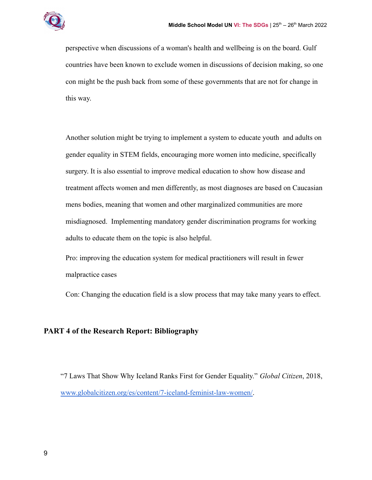

perspective when discussions of a woman's health and wellbeing is on the board. Gulf countries have been known to exclude women in discussions of decision making, so one con might be the push back from some of these governments that are not for change in this way.

Another solution might be trying to implement a system to educate youth and adults on gender equality in STEM fields, encouraging more women into medicine, specifically surgery. It is also essential to improve medical education to show how disease and treatment affects women and men differently, as most diagnoses are based on Caucasian mens bodies, meaning that women and other marginalized communities are more misdiagnosed. Implementing mandatory gender discrimination programs for working adults to educate them on the topic is also helpful.

Pro: improving the education system for medical practitioners will result in fewer malpractice cases

Con: Changing the education field is a slow process that may take many years to effect.

## **PART 4 of the Research Report: Bibliography**

"7 Laws That Show Why Iceland Ranks First for Gender Equality." *Global Citizen*, 2018, [www.globalcitizen.org/es/content/7-iceland-feminist-law-women/.](http://www.globalcitizen.org/es/content/7-iceland-feminist-law-women/)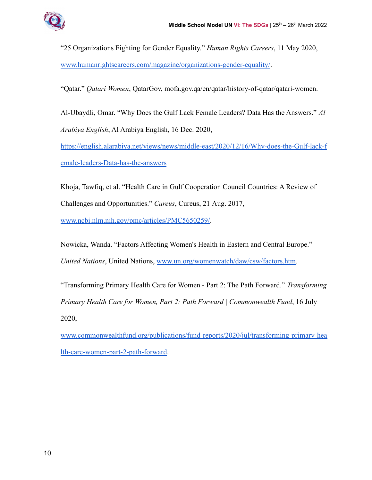

"25 Organizations Fighting for Gender Equality." *Human Rights Careers*, 11 May 2020, [www.humanrightscareers.com/magazine/organizations-gender-equality/](http://www.humanrightscareers.com/magazine/organizations-gender-equality/).

"Qatar." *Qatari Women*, QatarGov, mofa.gov.qa/en/qatar/history-of-qatar/qatari-women.

Al-Ubaydli, Omar. "Why Does the Gulf Lack Female Leaders? Data Has the Answers." *Al Arabiya English*, Al Arabiya English, 16 Dec. 2020,

[https://english.alarabiya.net/views/news/middle-east/2020/12/16/Why-does-the-Gulf-lack-f](https://english.alarabiya.net/views/news/middle-east/2020/12/16/Why-does-the-Gulf-lack-female-leaders-Data-has-the-answers) [emale-leaders-Data-has-the-answers](https://english.alarabiya.net/views/news/middle-east/2020/12/16/Why-does-the-Gulf-lack-female-leaders-Data-has-the-answers)

Khoja, Tawfiq, et al. "Health Care in Gulf Cooperation Council Countries: A Review of Challenges and Opportunities." *Cureus*, Cureus, 21 Aug. 2017,

[www.ncbi.nlm.nih.gov/pmc/articles/PMC5650259/.](http://www.ncbi.nlm.nih.gov/pmc/articles/PMC5650259/)

Nowicka, Wanda. "Factors Affecting Women's Health in Eastern and Central Europe." *United Nations*, United Nations, [www.un.org/womenwatch/daw/csw/factors.htm](http://www.un.org/womenwatch/daw/csw/factors.htm).

"Transforming Primary Health Care for Women - Part 2: The Path Forward." *Transforming Primary Health Care for Women, Part 2: Path Forward | Commonwealth Fund*, 16 July 2020,

[www.commonwealthfund.org/publications/fund-reports/2020/jul/transforming-primary-hea](http://www.commonwealthfund.org/publications/fund-reports/2020/jul/transforming-primary-health-care-women-part-2-path-forward) [lth-care-women-part-2-path-forward.](http://www.commonwealthfund.org/publications/fund-reports/2020/jul/transforming-primary-health-care-women-part-2-path-forward)